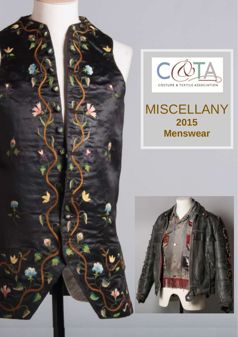



# MISCELLANY **2015 Menswear**

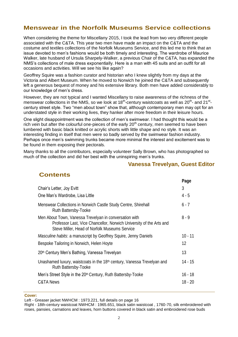### **Menswear in the Norfolk Museums Service collections**

When considering the theme for Miscellany 2015, I took the lead from two very different people associated with the C&TA. This year two men have made an impact on the C&TA and the costume and textiles collections of the Norfolk Museums Service, and this led me to think that an issue devoted to men's fashions would be both timely and interesting. The wardrobe of Maurice Walker, late husband of Ursula Sharpely-Walker, a previous Chair of the C&TA, has expanded the NMS's collections of male dress exponentially. Here is a man with 45 suits and an outfit for all occasions and activities. Will we see his like again?

Geoffrey Squire was a fashion curator and historian who I knew slightly from my days at the Victoria and Albert Museum. When he moved to Norwich he joined the C&TA and subsequently left a generous bequest of money and his extensive library. Both men have added considerably to our knowledge of men's dress.

However, they are not typical and I wanted Miscellany to raise awareness of the richness of the menswear collections in the NMS, so we look at 18<sup>th</sup>-century waistcoats as well as 20<sup>th</sup>- and 21<sup>st</sup>century street style. Two "men about town" show that, although contemporary men may opt for an understated style in their working lives, they hanker after more freedom in their leisure hours.

One slight disappointment was the collection of men's swimwear. I had thought this would be a rich vein but after the colourful one-pieces of the early  $20<sup>th</sup>$  century, men seemed to have been lumbered with basic black knitted or acrylic shorts with little shape and no style. It was an interesting finding in itself that men were so badly served by the swimwear fashion industry. Perhaps once men's swimming trunks became more minimal the interest and excitement was to be found in them exposing their pectorals.

Many thanks to all the contributors, especially volunteer Sally Brown, who has photographed so much of the collection and did her best with the uninspiring men's trunks.

#### **Vanessa Trevelyan, Guest Editor**

|                                                                                                                                                                                | Page      |
|--------------------------------------------------------------------------------------------------------------------------------------------------------------------------------|-----------|
| Chair's Letter, Joy Evitt                                                                                                                                                      | 3         |
| One Man's Wardrobe, Lisa Little                                                                                                                                                | $4 - 5$   |
| Menswear Collections in Norwich Castle Study Centre, Shirehall<br>Ruth Battersby-Tooke                                                                                         | $6 - 7$   |
| Men About Town, Vanessa Trevelyan in conversation with<br>Professor Last, Vice Chancellor, Norwich University of the Arts and<br>Steve Miller, Head of Norfolk Museums Service | $8 - 9$   |
| Masculine habits: a manuscript by Geoffrey Squire, Jenny Daniels                                                                                                               | $10 - 11$ |
| Bespoke Tailoring in Norwich, Helen Hoyte                                                                                                                                      | 12        |
| 20th Century Men's Bathing, Vanessa Trevelyan                                                                                                                                  | 13        |
| Unashamed luxury, waistcoats in the 18th century, Vanessa Trevelyan and<br>Ruth Battersby-Tooke                                                                                | 14 - 15   |
| Men's Street Style in the 20 <sup>th</sup> Century, Ruth Battersby-Tooke                                                                                                       | $16 - 18$ |
| <b>C&amp;TA News</b>                                                                                                                                                           | 18 - 20   |
|                                                                                                                                                                                |           |

**Cover:** 

**Contents**

Left - Greaser jacket NWHCM : 1973.221, full details on page 16

Right - 18th-century waistcoat NWHCM : 1965.651, black satin waistcoat , 1760-70, silk embroidered with roses, pansies, carnations and leaves, horn buttons covered in black satin and embroidered rose buds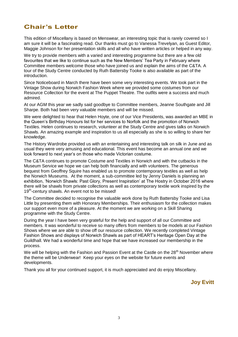### **Chair's Letter**

This edition of Miscellany is based on Menswear, an interesting topic that is rarely covered so I am sure it will be a fascinating read. Our thanks must go to Vanessa Trevelyan, as Guest Editor, Maggie Johnson for her presentation skills and all who have written articles or helped in any way.

We try to provide members with a varied and interesting programme but there are a few old favourites that we like to continue such as the New Members' Tea Party in February where Committee members welcome those who have joined us and explain the aims of the C&TA. A tour of the Study Centre conducted by Ruth Battersby Tooke is also available as part of the introduction.

Since Noticeboard in March there have been some very interesting events. We took part in the Vintage Show during Norwich Fashion Week where we provided some costumes from our Resource Collection for the event at The Puppet Theatre. The outfits were a success and much admired.

At our AGM this year we sadly said goodbye to Committee members, Jeanne Southgate and Jill Sharpe. Both had been very valuable members and will be missed.

We were delighted to hear that Helen Hoyte, one of our Vice Presidents, was awarded an MBE in the Queen's Birthday Honours list for her services to Norfolk and the promotion of Norwich Textiles. Helen continues to research, volunteer at the Study Centre and gives talks on Norwich Shawls. An amazing example and inspiration to us all especially as she is so willing to share her knowledge.

The History Wardrobe provided us with an entertaining and interesting talk on silk in June and as usual they were very amusing and educational. This event has become an annual one and we look forward to next year's on those who made Victorian costume.

The C&TA continues to promote Costume and Textiles in Norwich and with the cutbacks in the Museum Service we hope we can help both financially and with volunteers. The generous bequest from Geoffrey Squire has enabled us to promote contemporary textiles as well as help the Norwich Museums. At the moment, a sub-committee led by Jenny Daniels is planning an exhibition, 'Norwich Shawls: Past Glory, Present Inspiration' at The Hostry in October 2016 where there will be shawls from private collections as well as contemporary textile work inspired by the 19<sup>th</sup>-century shawls. An event not to be missed!

The Committee decided to recognise the valuable work done by Ruth Battersby Tooke and Lisa Little by presenting them with Honorary Memberships. Their enthusiasm for the collection makes our support even more of a pleasure. At the moment we are working on a Skill Sharing programme with the Study Centre.

During the year I have been very grateful for the help and support of all our Committee and members. It was wonderful to receive so many offers from members to be models at our Fashion Shows where we are able to show off our resource collection. We recently completed Vintage Fashion Shows and displays of Norwich Shawls as part of HEART's Heritage Open Day at the Guildhall. We had a wonderful time and hope that we have increased our membership in the process.

We will be helping with the Fashion and Passion Event at the Castle on the 28<sup>th</sup> November where the theme will be Underwear! Keep your eyes on the website for future events and developments.

Thank you all for your continued support, it is much appreciated and do enjoy Miscellany.

**Joy Evitt**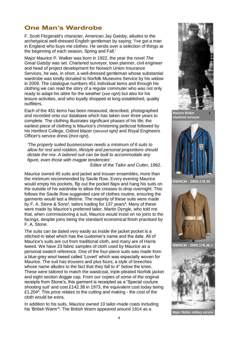### **One Man's Wardrobe**

F. Scott Fitzgerald's character, American Jay Gatsby, alludes to the archetypical well-dressed English gentleman by saying; 'I've got a man in England who buys me clothes. He sends over a selection of things at the beginning of each season, Spring and Fall.'

Major Maurice P. Walker was born in 1922, the year the novel *The Great Gatsby* was set. Chartered surveyor, town planner, civil engineer and head of project development for Norwich Union Insurance Services, he was, in short, a well-dressed gentleman whose substantial wardrobe was kindly donated to Norfolk Museums Service by his widow in 2009. The catalogue numbers 451 individual items and through his clothing we can read the story of a regular commuter who was not only ready to adapt his attire for the weather (*see right*) but also for his leisure activities, and who loyally shopped at long-established, quality outfitters.

Each of the 451 items has been measured, described, photographed and recorded onto our database which has taken over three years to complete. The clothing illustrates significant phases of his life; the earliest piece of clothing is Maurice's christening petticoat followed by his Hertford College, Oxford blazer (*second right)* and Royal Engineers Officer's service dress (*third right*).

*'The properly suited businessman needs a minimum of 6 suits to allow for rest and rotation, lifestyle and personal proportions should dictate the mix. A tailored suit can be built to accommodate any figure, even those with magpie tendencies'.* 

Editor of the *Tailor and Cutter,* 1962*.*

Maurice owned 45 suits and jacket and trouser ensembles, more than the minimum recommended by Savile Row. Every evening Maurice would empty his pockets, flip out the pocket flaps and hang his suits on the outside of his wardrobe to allow the creases to drop overnight. This follows the Savile Row suggested care of clothes routine, ensuring the garments would last a lifetime. The majority of these suits were made by F. A. Stone & Sons**<sup>2</sup>** , tailors trading for 137 years**<sup>3</sup>** . Many of these were made by Maurice's preferred tailor, Martin Dyngle, who told me that, when commissioning a suit, Maurice would insist on no joins to the facings, despite joins being the standard economical finish practised by F. A. Stone.

The suits can be dated very easily as inside the jacket pocket is a stitched-in label which has the customer's name and the date. All of Maurice's suits are cut from traditional cloth, and many are of Harris tweed. We have 23 fabric samples of cloth used by Maurice as a personal swatch reference. One of the four-piece suits was made from a blue-grey wool tweed called 'Lovert' which was especially woven for Maurice. The suit has trousers and plus fours; a style of breeches whose name alludes to the fact that they fall to 4" below the knee. These were tailored to match the waistcoat, triple-pleated Norfolk jacket and eight section doggie cap. From our copies of some of the original receipts from Stone's, this garment is receipted as a 'Special couture shooting suit' and cost £142.38 in 1973, the equivalent cost today being £1,204**<sup>4</sup>** . This price relates to the cutting and making - the cost of the cloth would be extra.

In addition to his suits, Maurice owned 10 tailor-made coats including his 'British Warm'**<sup>5</sup>** . The British Warm appeared around 1914 as a





**NWHCM : 2009.178.35** 



**NWHCM : 2009.178.36.1**

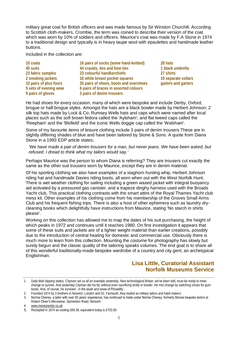military great coat for British officers and was made famous by Sir Winston Churchill. According to Scottish cloth-makers, Crombie, the term was coined to describe their version of the coat which was worn by 10% of soldiers and officers. Maurice's coat was made by F.A Stone in 1974 to a traditional design and typically is in heavy taupe wool with epaulettes and handmade leather buttons.

#### Included in the collection are:

**10 coats 45 suits 23 fabric samples 2 smoking jackets 10 pairs of plus fours 5 sets of evening wear 9 pairs of gloves**

**16 pairs of socks (some hand-knitted) 44 cravats, ties and bow ties 23 colourful handkerchiefs 16 white breast pocket squares 35 pairs of shoes, boots and overshoes 6 pairs of braces in assorted colours 3 pairs of denim trousers**

**28 hats 1 black umbrella 27 shirts 19 separate collars gaiters and garters**

He had shoes for every occasion, many of which were bespoke and include Derby, Oxford, brogue or half-brogue styles. Amongst the hats are a black bowler made by Herbert Johnson; 2 silk top hats made by Lock & Co; Rumsey Wells hats and caps which were named after local places such as the soft brown fedora called the 'Aylsham'; and flat tweed caps called the 'Reepham' and the 'Blofield' and the iconic Wells doggie cap called the 'Walsham'.

Some of my favourite items of leisure clothing include 3 pairs of denim trousers These are in slightly differing shades of blue and have been tailored by Stone & Sons. A quote from Diana Stone in a 1993 EDP article states;

*'We have made a pair of denim trousers for a man, but never jeans. We have been asked, but refused. I dread to think what my tailors would say.'*

Perhaps Maurice was the person to whom Diana is referring? They are trousers cut exactly the same as the other suit trousers worn by Maurice, except they are in denim material.

Of his sporting clothing we also have examples of a staghorn hunting whip, Herbert Johnson riding hat and handmade Davies riding boots, all worn when out with the West Norfolk Hunt. There is wet weather clothing for sailing including a green waxed jacket with integral buoyancy aid activated by a pressured gas canister, and a trapeze dinghy harness used with the Broads Yacht club. This practical clothing contrasts with the smart attire of the Royal Thames Yacht club mess kit. Other examples of his clothing come from his membership of the Groves Small Arms Club and his frequent fishing trips. There is also a host of other ephemera such as laundry drycleaning books which delightfully have instructions from Maurice, stating 'No starch in shirts please'.

Working on this collection has allowed me to map the dates of his suit purchasing, the height of which peaks in 1972 and continues until it reaches 1980. On first investigation it appears that some of these suits and jackets are of a lighter weight material than earlier creations, possibly due to the introduction of central heating for domestic and commercial use. Obviously there is much more to learn from this collection. Mounting the costume for photography has slowly but surely begun and the classic quality of the tailoring speaks volumes. The end goal is to share all of this wonderful traditionally-made bespoke wardrobe of a country and city gent; an archetypical Englishman.

### **Lisa Little, Curatorial Assistant Norfolk Museums Service**

<sup>1.</sup> Daily Mail clipping states; 'Cityman set us all an example yesterday. New technological Britain, we've been told, must be ready to meet change to survive. And yesterday Cityman did his bit, without even sacrificing brolly or bowler. He met change by switching shoes for gum boots. And, of course, he survived - in the slush and snow of Piccadilly'.

<sup>2.</sup> Founded 1874 by 3 brothers in Norwich, London and Gt. Yarmouth, they traded as military tailors and habit makers

<sup>3.</sup> Norma Cheney, a tailor with over 50 years' experience, has continued to trade under Norma Cheney, formerly Stones bespoke tailors at Robert Oliver's Menswear, Sprowston Road, Norwich.

<sup>4.</sup> [www.moneysorter.co.uk](http://www.moneysorter.co.uk)

<sup>5.</sup> Receipted in 1974 as costing £69.39, equivalent today is £702.00.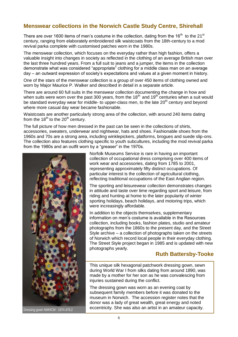### **Menswear collections in the Norwich Castle Study Centre, Shirehall**

There are over 1600 items of men's costume in the collection, dating from the 16 $^{\rm th}$  to the 21 $^{\rm st}$ century, ranging from elaborately embroidered silk waistcoats from the 18th-century to a mod revival parka complete with customised patches worn in the 1980s.

The menswear collection, which focuses on the everyday rather than high fashion, offers a valuable insight into changes in society as reflected in the clothing of an average British man over the last three hundred years. From a full suit to jeans and a jumper, the items in the collection demonstrate what was considered "appropriate" clothing for a middle class man on an average day – an outward expression of society's expectations and values at a given moment in history.

One of the stars of the menswear collection is a group of over 450 items of clothing owned and worn by Major Maurice P. Walker and described in detail in a separate article.

There are around 60 full suits in the menswear collection documenting the change in how and when suits were worn over the past 300 years, from the 18<sup>th</sup> and 19<sup>th</sup> centuries when a suit would be standard everyday wear for middle- to upper-class men, to the late  $20<sup>th</sup>$  century and beyond where more casual day wear became fashionable.

Waistcoats are another particularly strong area of the collection, with around 240 items dating from the  $18<sup>th</sup>$  to the  $20<sup>th</sup>$  century.

The full picture of how men dressed in the past can be seen in the collections of shirts, accessories, sweaters, underwear and nightwear, hats and shoes. Fashionable shoes from the 1960s and 70s are a strong area, including winklepickers, platforms, brogues and suede slip-ons. The collection also features clothing specific to youth subcultures, including the mod revival parka from the 1980s and an outfit worn by a "greaser" in the 1970s.



Dressing gown NWHCM : 1974.478.2

Norfolk Museums Service is rare in having an important collection of occupational dress comprising over 400 items of work wear and accessories, dating from 1785 to 2001, representing approximately fifty distinct occupations. Of particular interest is the collection of agricultural clothing, reflecting traditional occupations of the East Anglian region.

The sporting and leisurewear collection demonstrates changes in attitude and taste over time regarding sport and leisure, from riding and hunting at home to the later popularity of winter sporting holidays, beach holidays, and motoring trips, which were increasingly affordable.

In addition to the objects themselves, supplementary information on men's costume is available in the Resources collection, including books, fashion plates, studio and amateur photographs from the 1860s to the present day, and the Street Style archive – a collection of photographs taken on the streets of Norwich which record local people in their everyday clothing. The Street Style project began in 1985 and is updated with new photographs yearly.

#### **Ruth Battersby-Tooke**

This unique silk hexagonal patchwork dressing gown, sewn during World War I from silks dating from around 1890, was made by a mother for her son as he was convalescing from injuries sustained during the conflict.

The dressing gown was worn as an evening coat by subsequent family members before it was donated to the museum in Norwich. The accession register notes that the donor was a lady of great wealth, great energy and noted eccentricity. She was also an artist in an amateur capacity.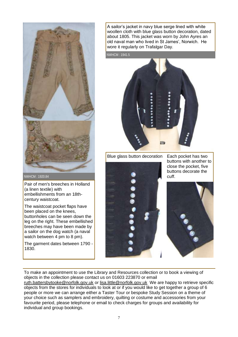

Pair of men's breeches in Holland (a linen textile) with

embellishments from an 18thcentury waistcoat.

The waistcoat pocket flaps have been placed on the knees, buttonholes can be seen down the leg on the right. These embellished breeches may have been made by a sailor on the dog watch (a naval watch between 4 pm to 8 pm).

The garment dates between 1790 - 1830.

A sailor's jacket in navy blue serge lined with white woollen cloth with blue glass button decoration, dated about 1805. This jacket was worn by John Ayres an old naval man who lived in St James', Norwich. He wore it regularly on Trafalgar Day.

NWHCM : 1941.5



Blue glass button decoration



Each pocket has two buttons with another to close the pocket, five buttons decorate the cuff.



To make an appointment to use the Library and Resources collection or to book a viewing of objects in the collection please contact us on 01603 223870 or email [ruth.battersbytooke@norfolk.gov.uk](mailto:ruth.battersbytooke@norfolk.gov.uk) or [lisa.little@norfolk.gov.uk](mailto:lisa.little@norfolk.gov.uk) We are happy to retrieve specific objects from the stores for individuals to look at or if you would like to get together a group of 6

people or more we can arrange either a Taster Tour or bespoke Study Session on a theme of your choice such as samplers and embroidery, quilting or costume and accessories from your favourite period, please telephone or email to check charges for groups and availability for individual and group bookings.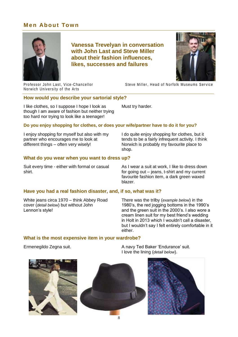### **Men About Town**



**Vanessa Trevelyan in conversation with John Last and Steve Miller about their fashion influences, likes, successes and failures**



Professor John Last, Vice-Chancellor Norwich University of the Arts

Steve Miller, Head of Norfolk Museums Service

#### **How would you describe your sartorial style?**

I like clothes, so I suppose I hope I look as though I am aware of fashion but neither trying too hard nor trying to look like a teenager!

Must try harder.

#### **Do you enjoy shopping for clothes, or does your wife/partner have to do it for you?**

I enjoy shopping for myself but also with my partner who encourages me to look at different things – often very wisely!

I do quite enjoy shopping for clothes, but it tends to be a fairly infrequent activity. I think Norwich is probably my favourite place to shop.

#### **What do you wear when you want to dress up?**

Suit every time - either with formal or casual shirt.

As I wear a suit at work, I like to dress down for going out – jeans, t-shirt and my current favourite fashion item, a dark green waxed blazer.

#### **Have you had a real fashion disaster, and, if so, what was it?**

White jeans circa 1970 – think Abbey Road cover (*detail below*) but without John Lennon's style!

There was the trilby (*example below*) in the 1980's, the red jogging bottoms in the 1990's and the green suit in the 2000's. I also wore a cream linen suit for my best friend's wedding in Holt in 2013 which I wouldn't call a disaster, but I wouldn't say I felt entirely comfortable in it either.

#### **What is the most expensive item in your wardrobe?**

Ermenegildo Zegna suit.

A navy Ted Baker 'Endurance' suit. I love the lining (*detail below*).



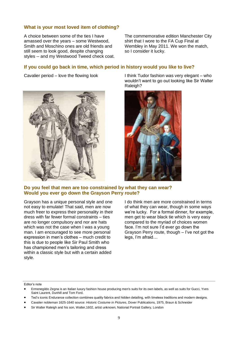#### **What is your most loved item of clothing?**

A choice between some of the ties I have amassed over the years – some Westwood, Smith and Moschino ones are old friends and still seem to look good, despite changing styles -- and my Westwood Tweed check coat. The commemorative edition Manchester City shirt that I wore to the FA Cup Final at Wembley in May 2011. We won the match, so I consider it lucky.

#### **If you could go back in time, which period in history would you like to live?**



Cavalier period – love the flowing look I think Tudor fashion was very elegant – who wouldn't want to go out looking like Sir Walter Raleigh?



#### **Do you feel that men are too constrained by what they can wear? Would you ever go down the Grayson Perry route?**

Grayson has a unique personal style and one not easy to emulate! That said, men are now much freer to express their personality in their dress with far fewer formal constraints – ties are no longer compulsory and nor are hats which was not the case when I was a young man. I am encouraged to see more personal expression in men's clothes – much credit to this is due to people like Sir Paul Smith who has championed men's tailoring and dress within a classic style but with a certain added style.

I do think men are more constrained in terms of what they can wear, though in some ways we're lucky. For a formal dinner, for example, men get to wear black tie which is very easy compared to the myriad of choices women face. I'm not sure I'd ever go down the Grayson Perry route, though – I've not got the legs, I'm afraid…

Editor's note

- Ermenegildo Zegna is an Italian luxury fashion house producing men's suits for its own labels, as well as suits for Gucci, Yves Saint Laurent, Dunhill and Tom Ford.
- Ted's iconic Endurance collection combines quality fabrics and hidden detailing, with timeless traditions and modern designs.
- Cavalier nobleman 1625-1640 source: *Historic Costume in Pictures*, Dover Publications, 1975, Braun & Schneider
- Sir Walter Raleigh and his son, Walter,1602, artist unknown, National Portrait Gallery, London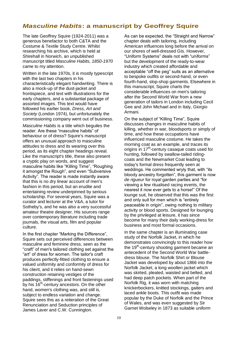### *Masculine Habits***: a manuscript by Geoffrey Squire**

The late Geoffrey Squire (1924-2011) was a generous benefactor to both C&TA and the Costume & Textile Study Centre. Whilst researching his archive, which is held at Shirehall in Norwich, an unpublished manuscript titled *Masculine Habits, 1850-1970*  came to my attention.

Written in the late 1970s, it is mostly typescript with the last two chapters in his characteristically elegant handwriting. There is also a mock-up of the dust-jacket and frontispiece, and text with illustrations for the early chapters, and a substantial package of assorted images. This text would have followed his earlier book, *Dress, Art and Society* (London 1974), but unfortunately the commissioning company went out of business.

*Masculine Habits* is a title which beguiles the reader. Are these "masculine habits" of behaviour or of dress? Squire's manuscript offers an unusual approach to masculine attitudes to dress and its wearing over this period, as its eight chapter headings reveal. Like the manuscript's title, these also present a cryptic play on words, and suggest masculine habits like "Killing Time", "Roughing it amongst the Rough", and even "Subversive Activity". The reader is made instantly aware that this is no dry linear account of men's fashion in this period, but an erudite and entertaining review underpinned by serious scholarship. For several years, Squire was a curator and lecturer at the V&A, a tutor for Sotheby's, and he was also a very successful amateur theatre designer. His sources range over contemporary literature including trade journals, the visual arts, film and popular culture.

In the first chapter "Marking the Difference", Squire sets out perceived differences between masculine and feminine dress, seen as the "craft" of men's tailored clothing set against the "art" of dress for women. The tailor's craft produces perfectly-fitted clothing to ensure a valued uniformity and conformity of dress for his client, and it relies on hand-sewn construction retaining vestiges of the paddings, stiffenings and front fastenings used by his 16<sup>th</sup>-century ancestors. On the other hand, women's clothing was, and still is, subject to endless variation and change. Squire sees this as a reiteration of the Great Renunciation and Seduction principles of James Laver and C.W. Cunnington.

As can be expected, the "Straight and Narrow" chapter deals with tailoring, including American influences long before the arrival on our shores of well-dressed GIs. However, "Uniform Systems" deals not with "uniforms" but the development of the ready-to-wear industry which created affordable and acceptable "off the peg" suits as an alternative to bespoke outfits or second-hand, or even fourth-hand, slop-shop garments. Elsewhere in this manuscript, Squire charts the considerable influences on men's tailoring after the Second World War from a new generation of tailors in London including Cecil Gee and John Michael and in Italy, Giorgio Armani.

On the subject of "Killing Time", Squire discusses changes in masculine habits of killing, whether in war, bloodsports or simply of time, and how these occupations have influenced masculine costume. He takes the morning coat as an example, and traces its origins in 17<sup>th</sup>-century casaque coats used for hunting, followed by swallow-tailed ridingcoats and the Newmarket Coat leading to today's formal dress frequently seen at weddings. He commented wryly that, with "its bloody ancestry forgotten", this garment is now *de rigueur* for royal garden parties and "for viewing a few ritualised racing events, the nearest it now ever gets to a horse!" Of the lounge suit, he observed that this was the first and only suit for men which is "entirely peaceable in origin", owing nothing to military activity or blood sports. Designed for lounging by the privileged at leisure, it has since become for many their daily working-dress for business and most formal occasions.

In the same chapter is an illuminating case study of the Norfolk Jacket, in which he demonstrates convincingly to this reader how the 19<sup>th</sup>-century shooting garment became an antecedent of the Second World War battledress blouse. The Norfolk Shirt or Blouse Jacket was developed by about 1866 into the Norfolk Jacket, a long woollen jacket which was skirted, pleated, waisted and belted, and had deep patch pockets. When part of the Norfolk Rig, it was worn with matching knickerbockers, knitted stockings, gaiters and laced ankle boots. This outfit was made popular by the Duke of Norfolk and the Prince of Wales, and was even suggested by Sir Garnet Wolseley in 1873 as suitable uniform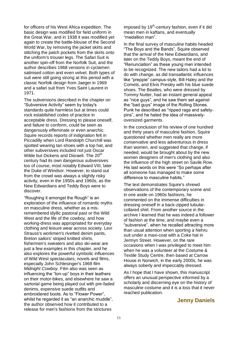for officers of his West Africa expedition. The basic design was modified for field uniform in the Great War, and in 1938 it was modified yet again to create the battle-blouse of the Second World War, by removing the jacket skirts and stitching the patch pockets from the skirts onto the uniform's trouser legs. The Safari Suit is another spin-off from the Norfolk Suit, and the author describes 1968 versions in cyclamen satinised cotton and even velvet. Both types of suit were still going strong at this period with a classic Norfolk design from Jaeger in 1969 and a safari suit from Yves Saint Laurent in 1971.

The subversions described in the chapter on "Subversive Activity" seem by today's standards quite harmless but at times could rock established codes of practice in acceptable dress. Dressing to please oneself, and failure to conform, could be seen as dangerously effeminate or even anarchic. Squire records reports of indignation felt in Piccadilly when Lord Randolph Churchill was spotted wearing tan shoes with a top hat, and other subversives included not just Oscar Wilde but Dickens and Disraeli. The 20<sup>th</sup> century had its own dangerous subversives too of course, most notably Edward VIII, later the Duke of Windsor. However, to stand out from the crowd was always a slightly risky activity, even in the 1950s and 1960s, as the New Edwardians and Teddy Boys were to discover.

"Roughing it amongst the Rough" is an exploration of the influence of romantic myths on masculine dress, whether as a misremembered idyllic pastoral past or the Wild West and the life of the cowboy, and how working-dress was appropriated for everyday clothing and leisure wear across society. Levi Strauss's workmen's rivetted denim pants, Breton sailors' striped knitted shirts, fishermen's sweaters and also ski-wear are just a few examples in this chapter, and he also explores the powerful symbolic influences of Wild West spectaculars, novels and films, especially John Schlesinger's 1969 film *Midnight Cowboy.* Film also was seen as influencing the "ton-up" boys in their leathers on their motor-bikes, and elsewhere he saw a sartorial game being played out with pre-faded denims, expensive suede outfits and embroidered boots. As to "Flower Power", whilst he regarded it as "an anarchic muddle". the author observed how it contributed to a release for men's fashions from the strictures

imposed by 19<sup>th</sup>-century fashion, even if it did mean men in kaftans, and eventually "medallion man".

In the final survey of masculine habits headed "The Boys and the Bands", Squire observed that the arrival of the New Edwardians, and later on the Teddy Boys, meant the end of "Renunciation" as these young men intended to be recognized. The new tailors had a lot to do with change, as did transatlantic influences like "preppie" campus-style, Bill Haley and the Comets, and Elvis Presley with his blue suede shoes. The Beatles, who were dressed by Tommy Nutter, had an instant general appeal as "nice guys", and he saw them set against the "bad guys" image of the Rolling Stones. Punk he described as "ripped rags and safetypins", and he hated the idea of massivelyoversized garments.

In the conclusion of his review of one hundred and thirty years of masculine fashion, Squire questioned whether men really are more conservative and less adventurous in dress than women, and suggested that change, if needed, would be brought about by the new women designers of men's clothing and also the influence of the high street on Savile Row. His last words on this were "So perhaps after all someone has managed to make some difference to masculine habits."

The text demonstrates Squire's shrewd observations of the contemporary scene and in one aside on 1960s fashions, he commented on the immense difficulties in dressing oneself in a back-zipped tubularcollared shirt. From another source in the archive I learned that he was indeed a follower of fashion at the time, and maybe even a "subversive", when he recalled attracting more than usual attention when sporting a Nehru suit under a maxi-coat with a Coke hat in Jermyn Street. However, on the rare occasions when I was privileged to meet him when he was a volunteer at the Costume & Textile Study Centre, then based at Carrow House in Norwich, in the early 2000s, he was always soberly and impeccably dressed.

As I hope that I have shown, this manuscript offers an unusual perspective informed by a scholarly and discerning eye on the history of masculine costume and it is a loss that it never reached publication.

#### **Jenny Daniels**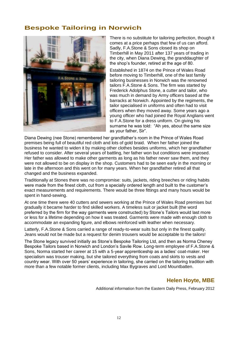### **Bespoke Tailoring in Norwich**



There is no substitute for tailoring perfection, though it comes at a price perhaps that few of us can afford. Sadly, F.A.Stone & Sons closed its shop on Timberhill in May 2011 after 137 years of trading in the city, when Diana Dewing, the granddaughter of the shop's founder, retired at the age of 80.

Established in 1874 on the Prince of Wales Road before moving to Timberhill, one of the last family tailoring businesses in Norwich was the renowned tailors F.A.Stone & Sons. The firm was started by Frederick Adolphus Stone, a cutter and tailor, who was much in demand by Army officers based at the barracks at Norwich. Appointed by the regiments, the tailor specialised in uniforms and often had to visit officers when they moved away. Some years ago a young officer who had joined the Royal Anglians went to F.A.Stone for a dress uniform. On giving his surname he was told: "Ah yes, about the same size as your father, Sir".

Diana Dewing (nee Stone) remembered her grandfather's room in the Prince of Wales Road premises being full of beautiful red cloth and lots of gold braid. When her father joined the business he wanted to widen it by making other clothes besides uniforms, which her grandfather refused to consider. After several years of battling, her father won but conditions were imposed. Her father was allowed to make other garments as long as his father never saw them, and they were not allowed to be on display in the shop. Customers had to be seen early in the morning or late in the afternoon and this went on for many years. When her grandfather retired all that changed and the business expanded.

Traditionally at Stones there was no compromise: suits, jackets, riding breeches or riding habits were made from the finest cloth, cut from a specially ordered length and built to the customer's exact measurements and requirements. There would be three fittings and many hours would be spent in hand-sewing.

At one time there were 40 cutters and sewers working at the Prince of Wales Road premises but gradually it became harder to find skilled workers. A timeless suit or jacket built (the word preferred by the firm for the way garments were constructed) by Stone's Tailors would last more or less for a lifetime depending on how it was treated. Garments were made with enough cloth to accommodate an expanding figure, and elbows reinforced with leather when necessary.

Latterly, F.A.Stone & Sons carried a range of ready-to-wear suits but only in the finest quality. Jeans would not be made but a request for denim trousers would be acceptable to the tailors!

The Stone legacy survived initially as Stone's Bespoke Tailoring Ltd, and then as Norma Cheney Bespoke Tailors based in Norwich and London's Savile Row. Long-term employee of F.A.Stone & Sons, Norma started her career at 15 with a 5-year apprenticeship as a ladies' coat-maker. Her specialism was trouser making, but she tailored everything from coats and skirts to vests and country wear. With over 50 years' experience in tailoring, she carried on the tailoring tradition with more than a few notable former clients, including Max Bygraves and Lord Mountbatten.

#### **Helen Hoyte, MBE**

Additional information from the Eastern Daily Press, February 2012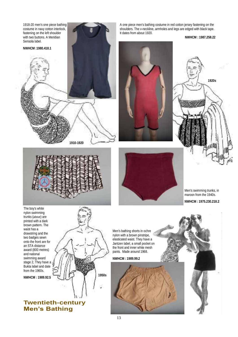

A one piece men's bathing costume in red cotton jersey fastening on the shoulders. The v-neckline, armholes and legs are edged with black tape. It dates from about 1920.

**NWHCM : 1987.258.22**





Men's swimming trunks, in maroon from the 1940s. **NWHCM : 1975.230.218.2**

stage 2, They have a Bukta label and date from the 1960s.

**NWHCM : 1989.92.5**



**NWHCM : 1989.99.2**

**Twentieth-century Men's Bathing**

**1950s**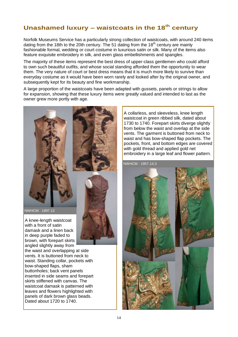### **Unashamed luxury – waistcoats in the 18th century**

Norfolk Museums Service has a particularly strong collection of waistcoats, with around 240 items dating from the 18th to the 20th century. The 51 dating from the  $18<sup>th</sup>$  century are mainly fashionable formal, wedding or court costume in luxurious satin or silk. Many of the items also feature exquisite embroidery in silk, and even glass embellishments and spangles.

The majority of these items represent the best dress of upper-class gentlemen who could afford to own such beautiful outfits, and whose social standing afforded them the opportunity to wear them. The very nature of court or best dress means that it is much more likely to survive than everyday costume as it would have been worn rarely and looked after by the original owner, and subsequently kept for its beauty and fine workmanship.

A large proportion of the waistcoats have been adapted with gussets, panels or strings to allow for expansion, showing that these luxury items were greatly valued and intended to last as the owner grew more portly with age.



A knee-length waistcoat with a front of satin damask and a linen back in deep purple faded to brown, with forepart skirts angled slightly away from

the waist and overlapping at side vents. It is buttoned from neck to waist. Standing collar, pockets with bow-shaped flaps, sham buttonholes; back vent panels inserted in side seams and forepart skirts stiffened with canvas. The waistcoat damask is patterned with leaves and flowers highlighted with panels of dark brown glass beads. Dated about 1720 to 1740.

A collarless, and sleeveless, knee length waistcoat in green ribbed silk, dated about 1730 to 1740. Forepart skirts diverge slightly from below the waist and overlap at the side vents. The garment is buttoned from neck to waist and has bow-shaped flap pockets. The pockets, front, and bottom edges are covered with gold thread and applied gold net embroidery in a large leaf and flower pattern.

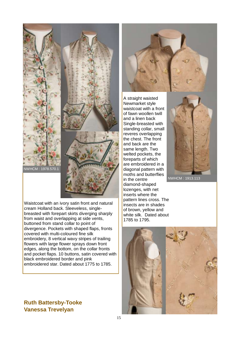NWHCM : 1978.570.1

Waistcoat with an ivory satin front and natural cream Holland back. Sleeveless, singlebreasted with forepart skirts diverging sharply from waist and overlapping at side vents, buttoned from stand collar to point of divergence. Pockets with shaped flaps, fronts covered with multi-coloured fine silk embroidery, 8 vertical wavy stripes of trailing flowers with large flower sprays down front edges, along the bottom, on the collar fronts and pocket flaps. 10 buttons, satin covered with black embroidered border and pink embroidered star. Dated about 1775 to 1785.

**Ruth Battersby-Tooke Vanessa Trevelyan**

A straight waisted Newmarket style waistcoat with a front of fawn woollen twill and a linen back Single-breasted with standing collar, small reveres overlapping the chest. The front and back are the same length. Two welted pockets, the foreparts of which are embroidered in a diagonal pattern with moths and butterflies in the centre diamond-shaped lozenges, with net inserts where the pattern lines cross. The insects are in shades of brown, yellow and white silk. Dated about 1785 to 1795.







15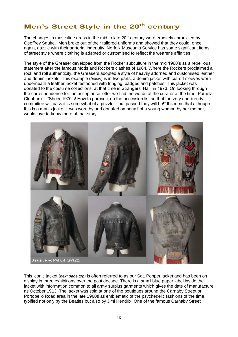### **Men's Street Style in the 20th century**

The changes in masculine dress in the mid to late  $20<sup>th</sup>$  century were eruditely chronicled by Geoffrey Squire. Men broke out of their tailored uniforms and showed that they could, once again, dazzle with their sartorial ingenuity. Norfolk Museums Service has some significant items of street style where clothing is adapted or customised to reflect the wearer's affinities.

The style of the Greaser developed from the Rocker subculture in the mid 1960's as a rebellious statement after the famous Mods and Rockers clashes of 1964. Where the Rockers proclaimed a rock and roll authenticity, the Greasers adopted a style of heavily adorned and customised leather and denim jackets. This example (*below*) is in two parts, a denim jacket with cut-off sleeves worn underneath a leather jacket festooned with fringing, badges and patches. This jacket was donated to the costume collections, at that time in Strangers' Hall, in 1973. On looking through the correspondence for the acceptance letter we find the words of the curator at the time, Pamela Clabburn… "Sheer 1970's! How to phrase it on the accession list so that the very non-trendy committee will pass it is somewhat of a puzzle – but passed they will be!" It seems that although this is a man's jacket it was worn by and donated on behalf of a young woman by her mother, I would love to know more of that story!



This iconic jacket (*next page top)* is often referred to as our Sgt. Pepper jacket and has been on display in three exhibitions over the past decade. There is a small blue paper label inside the jacket with information common to all army surplus garments which gives the date of manufacture as October 1913. The jacket was sold at one of the boutiques around the Carnaby Street or Portobello Road area in the late 1960s as emblematic of the psychedelic fashions of the time, typified not only by the Beatles but also by Jimi Hendrix. One of the famous Carnaby Street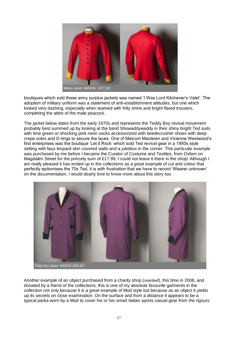

boutiques which sold these army surplus jackets was named 'I Was Lord Kitchener's Valet'. The adoption of military uniform was a statement of anti-establishment attitudes, but one which looked very dashing, especially when teamed with frilly shirts and bright flared trousers, completing the attire of the male peacock.

The jacket below dates from the early 1970s and represents the Teddy Boy revival movement probably best summed up by looking at the band Showaddywaddy in their shiny bright Ted suits with lime green or shocking pink neon socks accessorized with beetlecrusher shoes with deep crepe soles and D-rings to secure the laces. One of Malcom Maclaren and Vivienne Westwood's first enterprises was the boutique 'Let it Rock' which sold Ted revival gear in a 1950s style setting with faux leopard skin covered walls and a jukebox in the corner. This particular example was purchased by me before I became the Curator of Costume and Textiles, from Oxfam on Magdalen Street for the princely sum of £17.99, I could not leave it there in the shop! Although I am really pleased it has ended up in the collections as a great example of cut and colour that perfectly epitomises the 70s Ted, it is with frustration that we have to record 'Wearer unknown' on the documentation, I would dearly love to know more about this story too.



Another example of an object purchased from a charity shop (*overleaf*), this time in 2008, and donated by a friend of the collections, this is one of my absolute favourite garments in the collection not only because it is a great example of Mod style but because as an object it yields up its secrets on close examination. On the surface and from a distance it appears to be a typical parka worn by a Mod to cover his or her smart Italian sports casual gear from the rigours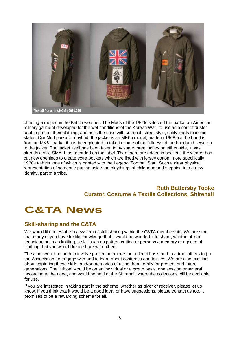

of riding a moped in the British weather. The Mods of the 1960s selected the parka, an American military garment developed for the wet conditions of the Korean War, to use as a sort of duster coat to protect their clothing, and as is the case with so much street style, utility leads to iconic status. Our Mod parka is a hybrid, the jacket is an MK65 model, made in 1968 but the hood is from an MK51 parka, it has been pleated to take in some of the fullness of the hood and sewn on to the jacket. The jacket itself has been taken in by some three inches on either side, it was already a size SMALL as recorded on the label. Then there are added in pockets, the wearer has cut new openings to create extra pockets which are lined with jersey cotton, more specifically 1970s t-shirts, one of which is printed with the Legend 'Football Star'. Such a clear physical representation of someone putting aside the playthings of childhood and stepping into a new identity, part of a tribe.

### **Ruth Battersby Tooke Curator, Costume & Textile Collections, Shirehall**

## **C&TA News**

#### **Skill-sharing and the C&TA**

We would like to establish a system of skill-sharing within the C&TA membership. We are sure that many of you have textile knowledge that it would be wonderful to share, whether it is a technique such as knitting, a skill such as pattern cutting or perhaps a memory or a piece of clothing that you would like to share with others.

The aims would be both to involve present members on a direct basis and to attract others to join the Association, to engage with and to learn about costumes and textiles. We are also thinking about capturing these skills, and/or memories of using them, orally for present and future generations. The 'tuition' would be on an individual or a group basis, one session or several according to the need, and would be held at the Shirehall where the collections will be available for use.

If you are interested in taking part in the scheme, whether as giver or receiver, please let us know. If you think that it would be a good idea, or have suggestions, please contact us too. It promises to be a rewarding scheme for all.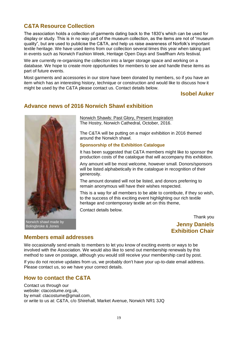### **C&TA Resource Collection**

The association holds a collection of garments dating back to the 1830's which can be used for display or study. This is in no way part of the museum collection, as the items are not of "museum quality", but are used to publicise the C&TA, and help us raise awareness of Norfolk's important textile heritage. We have used items from our collection several times this year when taking part in events such as Norwich Fashion Week, Heritage Open Days and Swaffham Arts festival.

We are currently re-organising the collection into a larger storage space and working on a database. We hope to create more opportunities for members to see and handle these items as part of future events.

Most garments and accessories in our store have been donated by members, so if you have an item which has an interesting history, technique or construction and would like to discuss how it might be used by the C&TA please contact us. Contact details below.

#### **Isobel Auker**

### **Advance news of 2016 Norwich Shawl exhibition**



Norwich shawl made by Bolingbroke & Jones

Norwich Shawls: Past Glory, Present Inspiration The Hostry, Norwich Cathedral, October, 2016.

The C&TA will be putting on a major exhibition in 2016 themed around the Norwich shawl.

**Sponsorship of the Exhibition Catalogue**

It has been suggested that C&TA members might like to sponsor the production costs of the catalogue that will accompany this exhibition.

Any amount will be most welcome, however small. Donors/sponsors will be listed alphabetically in the catalogue in recognition of their generosity.

The amount donated will not be listed, and donors preferring to remain anonymous will have their wishes respected.

This is a way for all members to be able to contribute, if they so wish, to the success of this exciting event highlighting our rich textile heritage and contemporary textile art on this theme,

Contact details below.

Thank you

**Jenny Daniels Exhibition Chair**

#### **Members email addresses**

We occasionally send emails to members to let you know of exciting events or ways to be involved with the Association. We would also like to send out membership renewals by this method to save on postage, although you would still receive your membership card by post.

If you do not receive updates from us, we probably don't have your up-to-date email address. Please contact us, so we have your correct details.

#### **How to contact the C&TA**

Contact us through our website: ctacostume.org.uk, by email: ctacostume@gmail.com, or write to us at: C&TA, c/o Shirehall, Market Avenue, Norwich NR1 3JQ